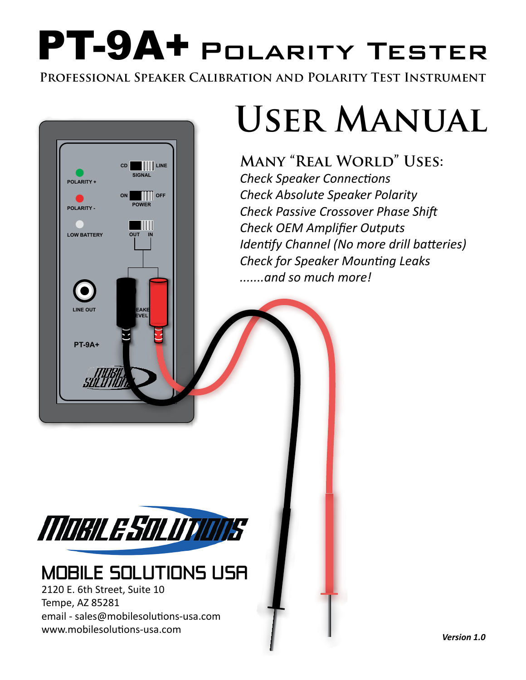# PT-9A+ Polarity Tester

**Professional Speaker Calibration and Polarity Test Instrument**



## **User Manual**

**Many "Real World" Uses:** *Check Speaker Connections Check Absolute Speaker Polarity Check Passive Crossover Phase Shift Check OEM Amplifier Outputs Identify Channel (No more drill batteries) Check for Speaker Mounting Leaks .......and so much more!*



## MOBILE SOLUTIONS USA

2120 E. 6th Street, Suite 10 Tempe, AZ 85281 email - sales@mobilesolutions-usa.com www.mobilesolutions-usa.com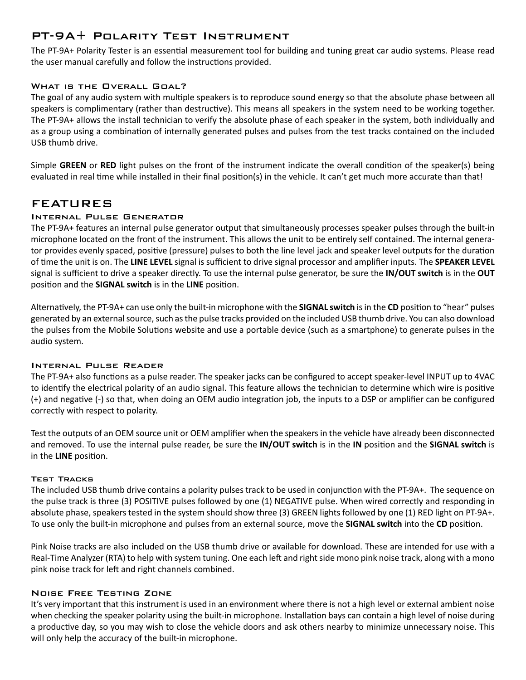#### PT-9A+ Polarity Test Instrument

The PT-9A+ Polarity Tester is an essential measurement tool for building and tuning great car audio systems. Please read the user manual carefully and follow the instructions provided.

#### WHAT IS THE OVERALL GOAL?

The goal of any audio system with multiple speakers is to reproduce sound energy so that the absolute phase between all speakers is complimentary (rather than destructive). This means all speakers in the system need to be working together. The PT-9A+ allows the install technician to verify the absolute phase of each speaker in the system, both individually and as a group using a combination of internally generated pulses and pulses from the test tracks contained on the included USB thumb drive.

Simple **GREEN** or **RED** light pulses on the front of the instrument indicate the overall condition of the speaker(s) being evaluated in real time while installed in their final position(s) in the vehicle. It can't get much more accurate than that!

#### FEATURES

#### Internal Pulse Generator

The PT-9A+ features an internal pulse generator output that simultaneously processes speaker pulses through the built-in microphone located on the front of the instrument. This allows the unit to be entirely self contained. The internal generator provides evenly spaced, positive (pressure) pulses to both the line level jack and speaker level outputs for the duration of time the unit is on. The **LINE LEVEL** signal is sufficient to drive signal processor and amplifier inputs. The **SPEAKER LEVEL** signal is sufficient to drive a speaker directly. To use the internal pulse generator, be sure the **IN/OUT switch** is in the **OUT** position and the **SIGNAL switch** is in the **LINE** position.

Alternatively, the PT-9A+ can use only the built-in microphone with the **SIGNAL switch** is in the **CD** position to "hear" pulses generated by an external source, such as the pulse tracks provided on the included USB thumb drive. You can also download the pulses from the Mobile Solutions website and use a portable device (such as a smartphone) to generate pulses in the audio system.

#### Internal Pulse Reader

The PT-9A+ also functions as a pulse reader. The speaker jacks can be configured to accept speaker-level INPUT up to 4VAC to identify the electrical polarity of an audio signal. This feature allows the technician to determine which wire is positive (+) and negative (-) so that, when doing an OEM audio integration job, the inputs to a DSP or amplifier can be configured correctly with respect to polarity.

Test the outputs of an OEM source unit or OEM amplifier when the speakers in the vehicle have already been disconnected and removed. To use the internal pulse reader, be sure the **IN/OUT switch** is in the **IN** position and the **SIGNAL switch** is in the **LINE** position.

#### Test Tracks

The included USB thumb drive contains a polarity pulses track to be used in conjunction with the PT-9A+. The sequence on the pulse track is three (3) POSITIVE pulses followed by one (1) NEGATIVE pulse. When wired correctly and responding in absolute phase, speakers tested in the system should show three (3) GREEN lights followed by one (1) RED light on PT-9A+. To use only the built-in microphone and pulses from an external source, move the **SIGNAL switch** into the **CD** position.

Pink Noise tracks are also included on the USB thumb drive or available for download. These are intended for use with a Real-Time Analyzer (RTA) to help with system tuning. One each left and right side mono pink noise track, along with a mono pink noise track for left and right channels combined.

#### Noise Free Testing Zone

It's very important that this instrument is used in an environment where there is not a high level or external ambient noise when checking the speaker polarity using the built-in microphone. Installation bays can contain a high level of noise during a productive day, so you may wish to close the vehicle doors and ask others nearby to minimize unnecessary noise. This will only help the accuracy of the built-in microphone.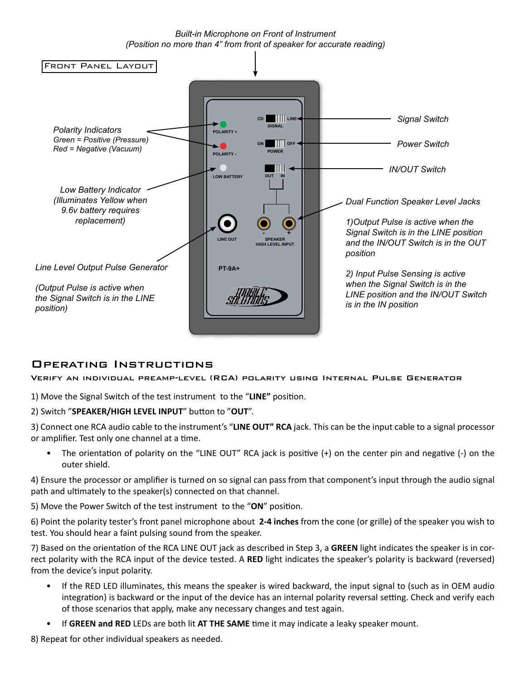*Built-in Microphone on Front of Instrument (Position no more than 4" from front of speaker for accurate reading)*



#### Operating Instructions

Verify an individual preamp-level (RCA) polarity using Internal Pulse Generator

1) Move the Signal Switch of the test instrument to the "**LINE"** position.

2) Switch "**SPEAKER/HIGH LEVEL INPUT**" button to "**OUT**".

3) Connect one RCA audio cable to the instrument's "**LINE OUT" RCA** jack. This can be the input cable to a signal processor or amplifier. Test only one channel at a time.

• The orientation of polarity on the "LINE OUT" RCA jack is positive (+) on the center pin and negative (-) on the outer shield.

4) Ensure the processor or amplifier is turned on so signal can pass from that component's input through the audio signal path and ultimately to the speaker(s) connected on that channel.

5) Move the Power Switch of the test instrument to the "**ON**" position.

6) Point the polarity tester's front panel microphone about **2-4 inches** from the cone (or grille) of the speaker you wish to test. You should hear a faint pulsing sound from the speaker.

7) Based on the orientation of the RCA LINE OUT jack as described in Step 3, a **GREEN** light indicates the speaker is in correct polarity with the RCA input of the device tested. A **RED** light indicates the speaker's polarity is backward (reversed) from the device's input polarity.

- If the RED LED illuminates, this means the speaker is wired backward, the input signal to (such as in OEM audio integration) is backward or the input of the device has an internal polarity reversal setting. Check and verify each of those scenarios that apply, make any necessary changes and test again.
- If **GREEN and RED** LEDs are both lit **AT THE SAME** time it may indicate a leaky speaker mount.

8) Repeat for other individual speakers as needed.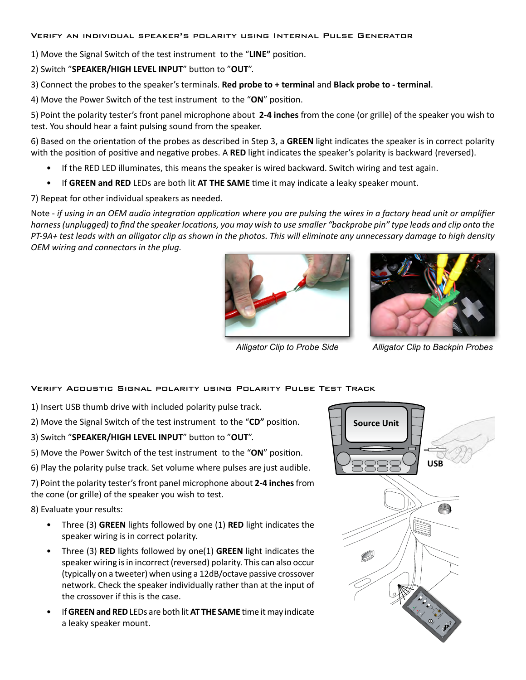#### Verify an individual speaker's polarity using Internal Pulse Generator

1) Move the Signal Switch of the test instrument to the "**LINE"** position.

2) Switch "**SPEAKER/HIGH LEVEL INPUT**" button to "**OUT**".

3) Connect the probes to the speaker's terminals. **Red probe to + terminal** and **Black probe to - terminal**.

4) Move the Power Switch of the test instrument to the "**ON**" position.

5) Point the polarity tester's front panel microphone about **2-4 inches** from the cone (or grille) of the speaker you wish to test. You should hear a faint pulsing sound from the speaker.

6) Based on the orientation of the probes as described in Step 3, a **GREEN** light indicates the speaker is in correct polarity with the position of positive and negative probes. A **RED** light indicates the speaker's polarity is backward (reversed).

- If the RED LED illuminates, this means the speaker is wired backward. Switch wiring and test again.
- If **GREEN and RED** LEDs are both lit **AT THE SAME** time it may indicate a leaky speaker mount.

7) Repeat for other individual speakers as needed.

Note - *if using in an OEM audio integration application where you are pulsing the wires in a factory head unit or amplifier harness (unplugged) to find the speaker locations, you may wish to use smaller "backprobe pin" type leads and clip onto the PT-9A+ test leads with an alligator clip as shown in the photos. This will eliminate any unnecessary damage to high density OEM wiring and connectors in the plug.*





*Alligator Clip to Probe Side Alligator Clip to Backpin Probes*

#### Verify Acoustic Signal polarity using Polarity Pulse Test Track

- 1) Insert USB thumb drive with included polarity pulse track.
- 2) Move the Signal Switch of the test instrument to the "**CD"** position.

3) Switch "**SPEAKER/HIGH LEVEL INPUT**" button to "**OUT**".

5) Move the Power Switch of the test instrument to the "**ON**" position.

6) Play the polarity pulse track. Set volume where pulses are just audible.

7) Point the polarity tester's front panel microphone about **2-4 inches** from the cone (or grille) of the speaker you wish to test.

8) Evaluate your results:

- Three (3) **GREEN** lights followed by one (1) **RED** light indicates the speaker wiring is in correct polarity.
- Three (3) **RED** lights followed by one(1) **GREEN** light indicates the speaker wiring is in incorrect (reversed) polarity. This can also occur (typically on a tweeter) when using a 12dB/octave passive crossover network. Check the speaker individually rather than at the input of the crossover if this is the case.
- If **GREEN and RED** LEDs are both lit **AT THE SAME** time it may indicate a leaky speaker mount.